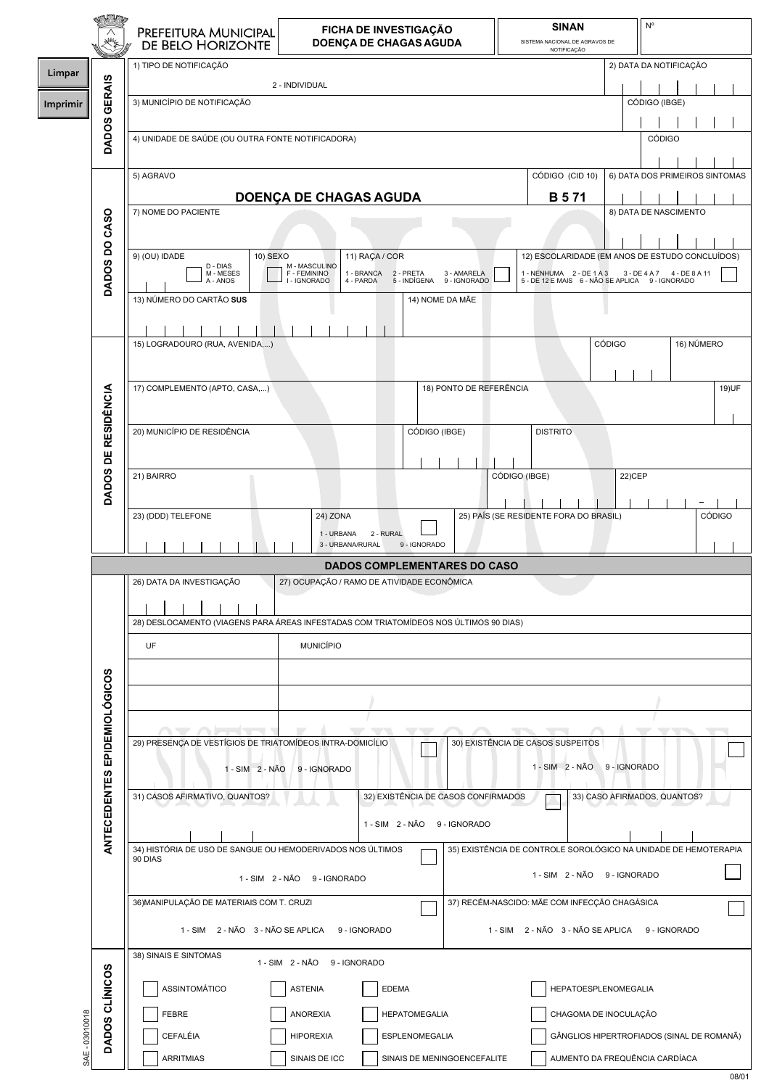|                |                              | PREFEITURA MUNICIPAL<br>DE BELO HORIZONTE                             | FICHA DE INVESTIGAÇÃO<br>DOENÇA DE CHAGAS AGUDA                                       | <b>SINAN</b><br>SISTEMA NACIONAL DE AGRAVOS DE<br>NOTIFICAÇÃO | $\mathsf{N}^\mathsf{o}$                                         |
|----------------|------------------------------|-----------------------------------------------------------------------|---------------------------------------------------------------------------------------|---------------------------------------------------------------|-----------------------------------------------------------------|
|                |                              | 1) TIPO DE NOTIFICAÇÃO                                                |                                                                                       |                                                               | 2) DATA DA NOTIFICAÇÃO                                          |
| Limpar         |                              |                                                                       |                                                                                       |                                                               |                                                                 |
|                |                              |                                                                       | 2 - INDIVIDUAL                                                                        |                                                               |                                                                 |
| Imprimir       |                              | 3) MUNICÍPIO DE NOTIFICAÇÃO                                           |                                                                                       |                                                               | CÓDIGO (IBGE)                                                   |
|                | DADOS GERAIS                 |                                                                       |                                                                                       |                                                               |                                                                 |
|                |                              | 4) UNIDADE DE SAÚDE (OU OUTRA FONTE NOTIFICADORA)                     |                                                                                       |                                                               | <b>CÓDIGO</b>                                                   |
|                |                              |                                                                       |                                                                                       |                                                               |                                                                 |
|                |                              |                                                                       |                                                                                       |                                                               |                                                                 |
|                |                              | 5) AGRAVO                                                             |                                                                                       | CÓDIGO (CID 10)                                               | 6) DATA DOS PRIMEIROS SINTOMAS                                  |
|                |                              |                                                                       | <b>DOENÇA DE CHAGAS AGUDA</b>                                                         | <b>B</b> 571                                                  |                                                                 |
|                |                              | 7) NOME DO PACIENTE                                                   |                                                                                       |                                                               | 8) DATA DE NASCIMENTO                                           |
|                |                              |                                                                       |                                                                                       |                                                               |                                                                 |
|                |                              |                                                                       |                                                                                       |                                                               |                                                                 |
|                | DADOS DO CASO                | 9) (OU) IDADE<br>10) SEXO                                             | 11) RAÇA / COR                                                                        |                                                               | 12) ESCOLARIDADE (EM ANOS DE ESTUDO CONCLUÍDOS)                 |
|                |                              | D - DIAS<br>M - MESES                                                 | M - MASCULINO<br>F - FEMININO<br>3 - AMARELA<br>1 - BRANCA 2 - PRETA                  | 1 - NENHUMA 2 - DE 1 A 3                                      | 3 - DE 4 A 7 4 - DE 8 A 11                                      |
|                |                              | A - ANOS                                                              | I - IGNORADO<br>9 - IGNORADO<br>4 - PARDA<br>5 - INDÍGENA                             |                                                               | 5 - DE 12 E MAIS 6 - NÃO SE APLICA 9 - IGNORADO                 |
|                |                              | 13) NÚMERO DO CARTÃO SUS                                              | 14) NOME DA MÃE                                                                       |                                                               |                                                                 |
|                |                              |                                                                       |                                                                                       |                                                               |                                                                 |
|                |                              |                                                                       |                                                                                       |                                                               |                                                                 |
|                |                              | 15) LOGRADOURO (RUA, AVENIDA,)                                        |                                                                                       |                                                               | <b>CÓDIGO</b><br>16) NÚMERO                                     |
|                |                              |                                                                       |                                                                                       |                                                               |                                                                 |
|                |                              |                                                                       |                                                                                       |                                                               |                                                                 |
|                |                              | 17) COMPLEMENTO (APTO, CASA,)                                         | 18) PONTO DE REFERÊNCIA                                                               |                                                               | 19) UF                                                          |
|                |                              |                                                                       |                                                                                       |                                                               |                                                                 |
|                |                              |                                                                       |                                                                                       |                                                               |                                                                 |
|                |                              | 20) MUNICÍPIO DE RESIDÊNCIA                                           | CÓDIGO (IBGE)                                                                         | <b>DISTRITO</b>                                               |                                                                 |
|                |                              |                                                                       |                                                                                       |                                                               |                                                                 |
|                |                              | 21) BAIRRO                                                            |                                                                                       | CÓDIGO (IBGE)                                                 | 22) CEP                                                         |
|                | DADOS DE RESIDÊNCIA          |                                                                       |                                                                                       |                                                               |                                                                 |
|                |                              |                                                                       |                                                                                       |                                                               |                                                                 |
|                |                              | 23) (DDD) TELEFONE                                                    | 24) ZONA                                                                              | 25) PAÍS (SE RESIDENTE FORA DO BRASIL)                        | <b>CÓDIGO</b>                                                   |
|                |                              |                                                                       | 2 - RURAL<br>1 - URBANA                                                               |                                                               |                                                                 |
|                |                              |                                                                       | 3 - URBANA/RURAL<br>9 - IGNORADO                                                      |                                                               |                                                                 |
|                |                              |                                                                       | <b>DADOS COMPLEMENTARES DO CASO</b>                                                   |                                                               |                                                                 |
|                |                              | 26) DATA DA INVESTIGAÇÃO                                              | 27) OCUPAÇÃO / RAMO DE ATIVIDADE ECONÔMICA                                            |                                                               |                                                                 |
|                |                              |                                                                       |                                                                                       |                                                               |                                                                 |
|                |                              |                                                                       |                                                                                       |                                                               |                                                                 |
|                |                              |                                                                       | 28) DESLOCAMENTO (VIAGENS PARA ÁREAS INFESTADAS COM TRIATOMÍDEOS NOS ÚLTIMOS 90 DIAS) |                                                               |                                                                 |
|                |                              | UF                                                                    | <b>MUNICÍPIO</b>                                                                      |                                                               |                                                                 |
|                |                              |                                                                       |                                                                                       |                                                               |                                                                 |
|                | ANTECEDENTES EPIDEMIOLÓGICOS |                                                                       |                                                                                       |                                                               |                                                                 |
|                |                              |                                                                       |                                                                                       |                                                               |                                                                 |
|                |                              |                                                                       |                                                                                       |                                                               |                                                                 |
|                |                              | --                                                                    |                                                                                       |                                                               |                                                                 |
|                |                              | 29) PRESENÇA DE VESTÍGIOS DE TRIATOMÍDEOS INTRA-DOMICÍLIO             |                                                                                       | 30) EXISTÊNCIA DE CASOS SUSPEITOS                             |                                                                 |
|                |                              |                                                                       |                                                                                       |                                                               |                                                                 |
|                |                              | 1 - SIM 2 - NÃO                                                       | 9 - IGNORADO                                                                          | 1 - SIM 2 - NÃO 9 - IGNORADO                                  |                                                                 |
|                |                              | 31) CASOS AFIRMATIVO, QUANTOS?                                        | 32) EXISTÊNCIA DE CASOS CONFIRMADOS                                                   |                                                               | 33) CASO AFIRMADOS, QUANTOS?                                    |
|                |                              |                                                                       |                                                                                       |                                                               |                                                                 |
|                |                              |                                                                       | 9 - IGNORADO<br>1 - SIM 2 - NÃO                                                       |                                                               |                                                                 |
|                |                              |                                                                       |                                                                                       |                                                               |                                                                 |
|                |                              | 34) HISTÓRIA DE USO DE SANGUE OU HEMODERIVADOS NOS ÚLTIMOS<br>90 DIAS |                                                                                       |                                                               | 35) EXISTÊNCIA DE CONTROLE SOROLÓGICO NA UNIDADE DE HEMOTERAPIA |
|                |                              |                                                                       |                                                                                       | 1 - SIM 2 - NÃO 9 - IGNORADO                                  |                                                                 |
|                |                              |                                                                       | 1 - SIM 2 - NÃO 9 - IGNORADO                                                          |                                                               |                                                                 |
|                |                              | 36) MANIPULAÇÃO DE MATERIAIS COM T. CRUZI                             |                                                                                       | 37) RECÉM-NASCIDO: MÃE COM INFECÇÃO CHAGÁSICA                 |                                                                 |
|                |                              |                                                                       |                                                                                       |                                                               |                                                                 |
|                |                              |                                                                       | 1 - SIM 2 - NÃO 3 - NÃO SE APLICA 9 - IGNORADO                                        | 1 - SIM 2 - NÃO 3 - NÃO SE APLICA 9 - IGNORADO                |                                                                 |
|                |                              | 38) SINAIS E SINTOMAS                                                 |                                                                                       |                                                               |                                                                 |
|                |                              |                                                                       | 1 - SIM 2 - NÃO 9 - IGNORADO                                                          |                                                               |                                                                 |
|                |                              |                                                                       |                                                                                       |                                                               |                                                                 |
|                |                              | ASSINTOMÁTICO                                                         | <b>ASTENIA</b><br><b>EDEMA</b>                                                        | HEPATOESPLENOMEGALIA                                          |                                                                 |
|                |                              |                                                                       |                                                                                       | CHAGOMA DE INOCULAÇÃO                                         |                                                                 |
|                |                              |                                                                       |                                                                                       |                                                               |                                                                 |
|                |                              | <b>FEBRE</b>                                                          | <b>HEPATOMEGALIA</b><br><b>ANOREXIA</b>                                               |                                                               |                                                                 |
|                |                              | CEFALÉIA                                                              | <b>HIPOREXIA</b><br>ESPLENOMEGALIA                                                    |                                                               | GÂNGLIOS HIPERTROFIADOS (SINAL DE ROMANÃ)                       |
| SAE - 03010018 | DADOS CLÍNICOS               | <b>ARRITMIAS</b>                                                      | SINAIS DE ICC<br>SINAIS DE MENINGOENCEFALITE                                          |                                                               | AUMENTO DA FREQUÊNCIA CARDÍACA                                  |